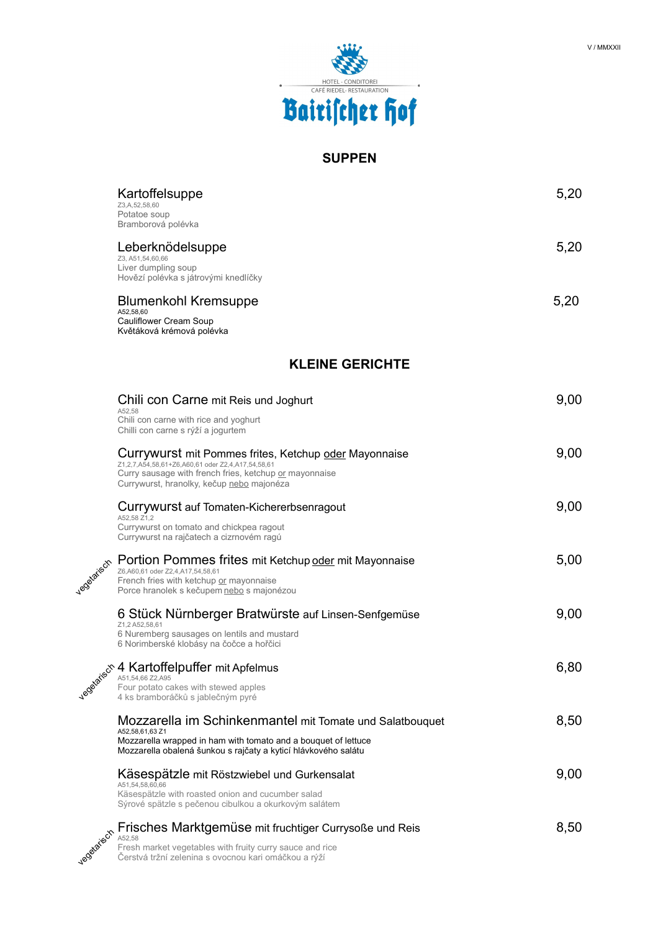

## **SUPPEN**

|             | Kartoffelsuppe<br>Z3, A, 52, 58, 60<br>Potatoe soup<br>Bramborová polévka                                                                                                                                         | 5,20 |
|-------------|-------------------------------------------------------------------------------------------------------------------------------------------------------------------------------------------------------------------|------|
|             | Leberknödelsuppe<br>Z3, A51,54,60,66<br>Liver dumpling soup<br>Hovězí polévka s játrovými knedlíčky                                                                                                               | 5,20 |
|             | <b>Blumenkohl Kremsuppe</b><br>A52.58.60<br><b>Cauliflower Cream Soup</b><br>Květáková krémová polévka                                                                                                            | 5,20 |
|             | <b>KLEINE GERICHTE</b>                                                                                                                                                                                            |      |
|             | Chili con Carne mit Reis und Joghurt<br>A52,58<br>Chili con carne with rice and yoghurt<br>Chilli con carne s rýží a jogurtem                                                                                     | 9,00 |
|             | Currywurst mit Pommes frites, Ketchup oder Mayonnaise<br>Z1,2,7,A54,58,61+Z6,A60,61 oder Z2,4,A17,54,58,61<br>Curry sausage with french fries, ketchup or mayonnaise<br>Currywurst, hranolky, kečup nebo majonéza | 9,00 |
|             | Currywurst auf Tomaten-Kichererbsenragout<br>A52,58 Z1,2<br>Currywurst on tomato and chickpea ragout<br>Currywurst na rajčatech a cizrnovém ragú                                                                  | 9,00 |
|             | Portion Pommes frites mit Ketchup oder mit Mayonnaise<br>Z6, A60, 61 oder Z2, 4, A17, 54, 58, 61<br>French fries with ketchup or mayonnaise<br>Porce hranolek s kečupem nebo s majonézou                          | 5,00 |
|             | 6 Stück Nürnberger Bratwürste auf Linsen-Senfgemüse<br>Z1,2A52,58,61<br>6 Nuremberg sausages on lentils and mustard<br>6 Norimberské klobásy na čočce a hořčici                                                   | 9,00 |
|             | www.come a hořčic<br>A Kartoffelpuffer mit Apfelmus<br>Four potato cakes with<br>4 ks bramboráčků s jablečným pyré                                                                                                | 6,80 |
|             | Mozzarella im Schinkenmantel mit Tomate und Salatbouquet<br>A52.58.61.63 Z1<br>Mozzarella wrapped in ham with tomato and a bouquet of lettuce<br>Mozzarella obalená šunkou s rajčaty a kyticí hlávkového salátu   | 8,50 |
|             | Käsespätzle mit Röstzwiebel und Gurkensalat<br>A51,54,58,60,66<br>Käsespätzle with roasted onion and cucumber salad<br>Sýrové spätzle s pečenou cibulkou a okurkovým salátem                                      | 9,00 |
| Vegetatiech | Frisches Marktgemüse mit fruchtiger Currysoße und Reis<br>A52.58<br>Fresh market vegetables with fruity curry sauce and rice<br>Cerstvá tržní zelenina s ovocnou kari omáčkou a rýží                              | 8,50 |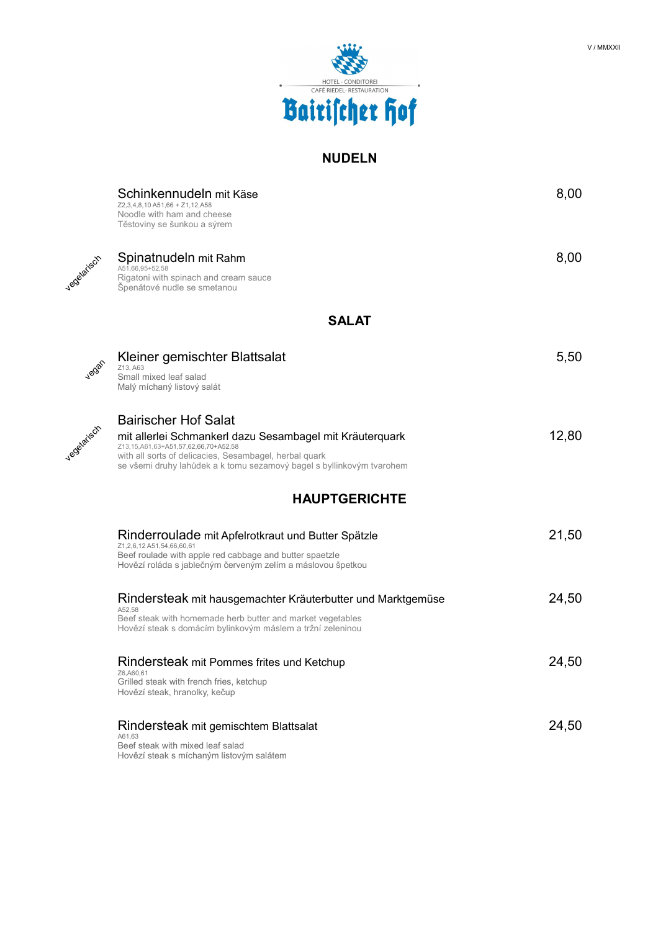

## **NUDELN**

|              | Schinkennudeln mit Käse<br>Z2, 3, 4, 8, 10 A 51, 66 + Z1, 12, A 58<br>Noodle with ham and cheese<br>Těstoviny se šunkou a sýrem                                                                                                                                    | 8,00  |
|--------------|--------------------------------------------------------------------------------------------------------------------------------------------------------------------------------------------------------------------------------------------------------------------|-------|
| Vegetatiech  | Spinatnudeln mit Rahm<br>A51,66,95+52,58<br>Rigatoni with spinach and cream sauce<br>Spenátové nudle se smetanou                                                                                                                                                   | 8,00  |
|              | <b>SALAT</b>                                                                                                                                                                                                                                                       |       |
| <b>Jegan</b> | Kleiner gemischter Blattsalat<br>Z13, A63<br>Small mixed leaf salad<br>Malý míchaný listový salát                                                                                                                                                                  | 5,50  |
| vegetatiech  | <b>Bairischer Hof Salat</b><br>mit allerlei Schmankerl dazu Sesambagel mit Kräuterquark<br>Z13,15,A61,63+A51,57,62,66,70+A52,58<br>with all sorts of delicacies, Sesambagel, herbal quark<br>se všemi druhy lahůdek a k tomu sezamový bagel s byllinkovým tvarohem | 12,80 |
|              | <b>HAUPTGERICHTE</b>                                                                                                                                                                                                                                               |       |
|              | Rinderroulade mit Apfelrotkraut und Butter Spätzle<br>Z1,2,6,12 A51,54,66,60,61<br>Beef roulade with apple red cabbage and butter spaetzle<br>Hovězí roláda s jablečným červeným zelím a máslovou špetkou                                                          | 21,50 |
|              | Rindersteak mit hausgemachter Kräuterbutter und Marktgemüse<br>A52.58<br>Beef steak with homemade herb butter and market vegetables<br>Hovězí steak s domácím bylinkovým máslem a tržní zeleninou                                                                  | 24,50 |
|              | Rindersteak mit Pommes frites und Ketchup<br>Z6.A60.61<br>Grilled steak with french fries, ketchup<br>Hovězí steak, hranolky, kečup                                                                                                                                | 24,50 |
|              | Rindersteak mit gemischtem Blattsalat<br>A61.63<br>Beef steak with mixed leaf salad<br>Hovězí steak s míchaným listovým salátem                                                                                                                                    | 24,50 |